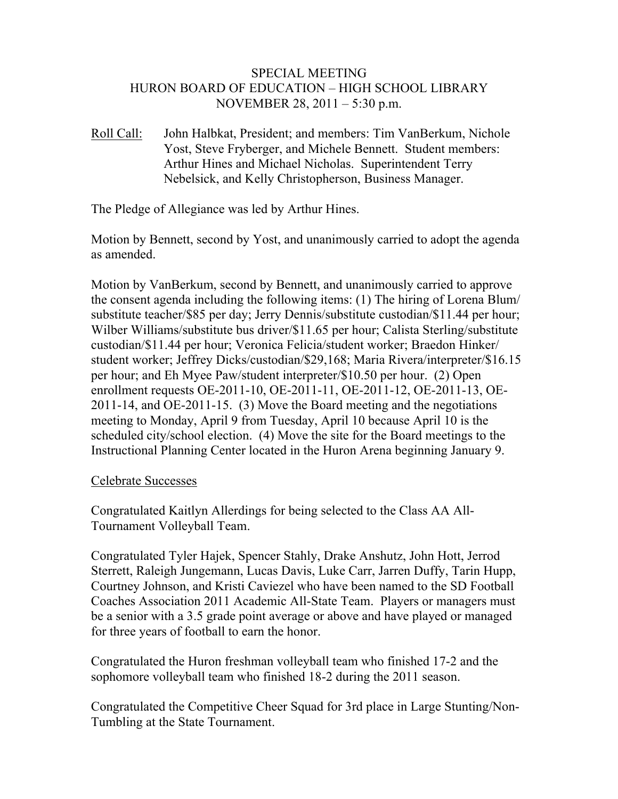## SPECIAL MEETING HURON BOARD OF EDUCATION – HIGH SCHOOL LIBRARY NOVEMBER 28, 2011 – 5:30 p.m.

Roll Call: John Halbkat, President; and members: Tim VanBerkum, Nichole Yost, Steve Fryberger, and Michele Bennett. Student members: Arthur Hines and Michael Nicholas. Superintendent Terry Nebelsick, and Kelly Christopherson, Business Manager.

The Pledge of Allegiance was led by Arthur Hines.

Motion by Bennett, second by Yost, and unanimously carried to adopt the agenda as amended.

Motion by VanBerkum, second by Bennett, and unanimously carried to approve the consent agenda including the following items: (1) The hiring of Lorena Blum/ substitute teacher/\$85 per day; Jerry Dennis/substitute custodian/\$11.44 per hour; Wilber Williams/substitute bus driver/\$11.65 per hour; Calista Sterling/substitute custodian/\$11.44 per hour; Veronica Felicia/student worker; Braedon Hinker/ student worker; Jeffrey Dicks/custodian/\$29,168; Maria Rivera/interpreter/\$16.15 per hour; and Eh Myee Paw/student interpreter/\$10.50 per hour. (2) Open enrollment requests OE-2011-10, OE-2011-11, OE-2011-12, OE-2011-13, OE-2011-14, and OE-2011-15. (3) Move the Board meeting and the negotiations meeting to Monday, April 9 from Tuesday, April 10 because April 10 is the scheduled city/school election. (4) Move the site for the Board meetings to the Instructional Planning Center located in the Huron Arena beginning January 9.

## Celebrate Successes

Congratulated Kaitlyn Allerdings for being selected to the Class AA All-Tournament Volleyball Team.

Congratulated Tyler Hajek, Spencer Stahly, Drake Anshutz, John Hott, Jerrod Sterrett, Raleigh Jungemann, Lucas Davis, Luke Carr, Jarren Duffy, Tarin Hupp, Courtney Johnson, and Kristi Caviezel who have been named to the SD Football Coaches Association 2011 Academic All-State Team. Players or managers must be a senior with a 3.5 grade point average or above and have played or managed for three years of football to earn the honor.

Congratulated the Huron freshman volleyball team who finished 17-2 and the sophomore volleyball team who finished 18-2 during the 2011 season.

Congratulated the Competitive Cheer Squad for 3rd place in Large Stunting/Non-Tumbling at the State Tournament.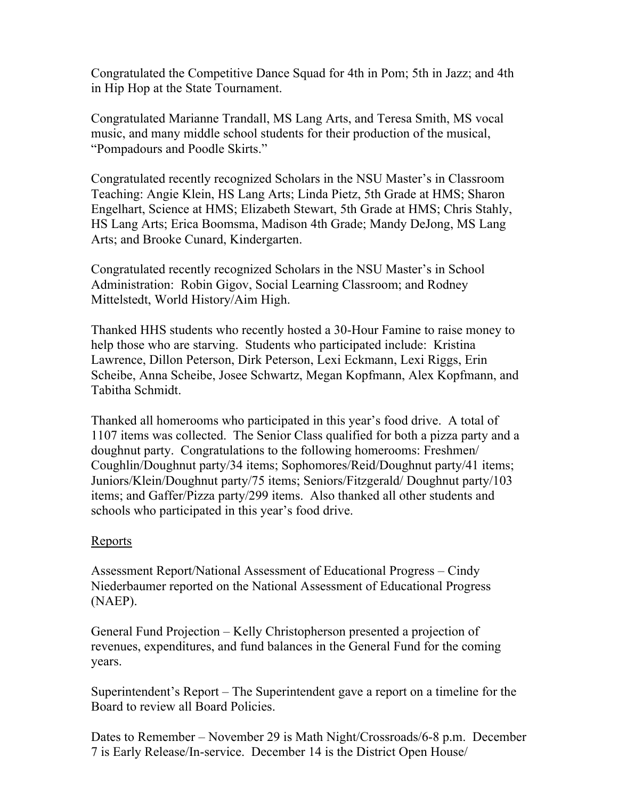Congratulated the Competitive Dance Squad for 4th in Pom; 5th in Jazz; and 4th in Hip Hop at the State Tournament.

Congratulated Marianne Trandall, MS Lang Arts, and Teresa Smith, MS vocal music, and many middle school students for their production of the musical, "Pompadours and Poodle Skirts."

Congratulated recently recognized Scholars in the NSU Master's in Classroom Teaching: Angie Klein, HS Lang Arts; Linda Pietz, 5th Grade at HMS; Sharon Engelhart, Science at HMS; Elizabeth Stewart, 5th Grade at HMS; Chris Stahly, HS Lang Arts; Erica Boomsma, Madison 4th Grade; Mandy DeJong, MS Lang Arts; and Brooke Cunard, Kindergarten.

Congratulated recently recognized Scholars in the NSU Master's in School Administration: Robin Gigov, Social Learning Classroom; and Rodney Mittelstedt, World History/Aim High.

Thanked HHS students who recently hosted a 30-Hour Famine to raise money to help those who are starving. Students who participated include: Kristina Lawrence, Dillon Peterson, Dirk Peterson, Lexi Eckmann, Lexi Riggs, Erin Scheibe, Anna Scheibe, Josee Schwartz, Megan Kopfmann, Alex Kopfmann, and Tabitha Schmidt.

Thanked all homerooms who participated in this year's food drive. A total of 1107 items was collected. The Senior Class qualified for both a pizza party and a doughnut party. Congratulations to the following homerooms: Freshmen/ Coughlin/Doughnut party/34 items; Sophomores/Reid/Doughnut party/41 items; Juniors/Klein/Doughnut party/75 items; Seniors/Fitzgerald/ Doughnut party/103 items; and Gaffer/Pizza party/299 items. Also thanked all other students and schools who participated in this year's food drive.

## Reports

Assessment Report/National Assessment of Educational Progress – Cindy Niederbaumer reported on the National Assessment of Educational Progress (NAEP).

General Fund Projection – Kelly Christopherson presented a projection of revenues, expenditures, and fund balances in the General Fund for the coming years.

Superintendent's Report – The Superintendent gave a report on a timeline for the Board to review all Board Policies.

Dates to Remember – November 29 is Math Night/Crossroads/6-8 p.m. December 7 is Early Release/In-service. December 14 is the District Open House/